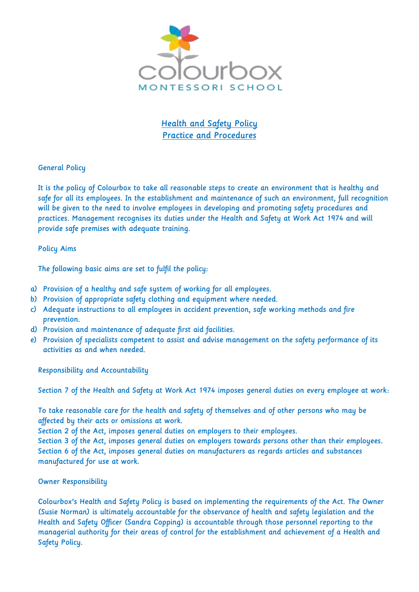

**Health and Safety Policy** Practice and Procedures

# General Policy

It is the policy of Colourbox to take all reasonable steps to create an environment that is healthy and safe for all its employees. In the establishment and maintenance of such an environment, full recognition will be given to the need to involve employees in developing and promoting safety procedures and practices. Management recognises its duties under the Health and Safety at Work Act 1974 and will provide safe premises with adequate training.

### Policy Aims

The following basic aims are set to fulfil the policy:

- a) Provision of a healthy and safe system of working for all employees.
- b) Provision of appropriate safety clothing and equipment where needed.
- c) Adequate instructions to all employees in accident prevention, safe working methods and fire prevention.
- d) Provision and maintenance of adequate first aid facilities.
- e) Provision of specialists competent to assist and advise management on the safety performance of its activities as and when needed.

Responsibility and Accountability

Section 7 of the Health and Safety at Work Act 1974 imposes general duties on every employee at work:

To take reasonable care for the health and safety of themselves and of other persons who may be affected by their acts or omissions at work.

Section 2 of the Act, imposes general duties on employers to their employees.

Section 3 of the Act, imposes general duties on employers towards persons other than their employees. Section 6 of the Act, imposes general duties on manufacturers as regards articles and substances manufactured for use at work.

# Owner Responsibility

Colourbox's Health and Safety Policy is based on implementing the requirements of the Act. The Owner (Susie Norman) is ultimately accountable for the observance of health and safety legislation and the Health and Safety Officer (Sandra Copping) is accountable through those personnel reporting to the managerial authority for their areas of control for the establishment and achievement of a Health and Safety Policy.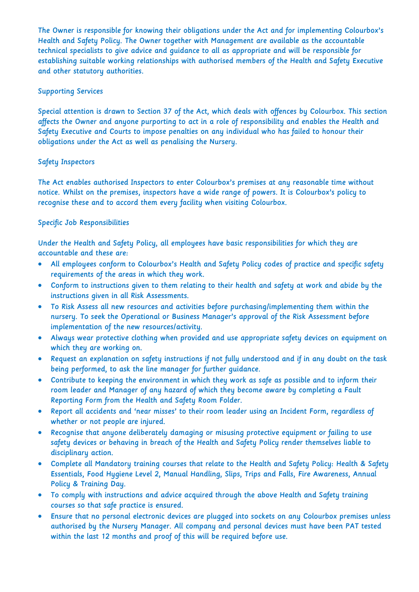The Owner is responsible for knowing their obligations under the Act and for implementing Colourbox's Health and Safety Policy. The Owner together with Management are available as the accountable technical specialists to give advice and guidance to all as appropriate and will be responsible for establishing suitable working relationships with authorised members of the Health and Safety Executive and other statutory authorities.

### Supporting Services

Special attention is drawn to Section 37 of the Act, which deals with offences by Colourbox. This section affects the Owner and anyone purporting to act in a role of responsibility and enables the Health and Safety Executive and Courts to impose penalties on any individual who has failed to honour their obligations under the Act as well as penalising the Nursery.

### Safety Inspectors

The Act enables authorised Inspectors to enter Colourbox's premises at any reasonable time without notice. Whilst on the premises, inspectors have a wide range of powers. It is Colourbox's policy to recognise these and to accord them every facility when visiting Colourbox.

# Specific Job Responsibilities

Under the Health and Safety Policy, all employees have basic responsibilities for which they are accountable and these are:

- All employees conform to Colourbox's Health and Safety Policy codes of practice and specific safety requirements of the areas in which they work.
- Conform to instructions given to them relating to their health and safety at work and abide by the instructions given in all Risk Assessments.
- To Risk Assess all new resources and activities before purchasing/implementing them within the nursery. To seek the Operational or Business Manager's approval of the Risk Assessment before implementation of the new resources/activity.
- Always wear protective clothing when provided and use appropriate safety devices on equipment on which they are working on.
- Request an explanation on safety instructions if not fully understood and if in any doubt on the task being performed, to ask the line manager for further guidance.
- Contribute to keeping the environment in which they work as safe as possible and to inform their room leader and Manager of any hazard of which they become aware by completing a Fault Reporting Form from the Health and Safety Room Folder.
- Report all accidents and 'near misses' to their room leader using an Incident Form, regardless of whether or not people are injured.
- Recognise that anyone deliberately damaging or misusing protective equipment or failing to use safety devices or behaving in breach of the Health and Safety Policy render themselves liable to disciplinary action.
- Complete all Mandatory training courses that relate to the Health and Safety Policy: Health & Safety Essentials, Food Hygiene Level 2, Manual Handling, Slips, Trips and Falls, Fire Awareness, Annual Policy & Training Day.
- To comply with instructions and advice acquired through the above Health and Safety training courses so that safe practice is ensured.
- Ensure that no personal electronic devices are plugged into sockets on any Colourbox premises unless authorised by the Nursery Manager. All company and personal devices must have been PAT tested within the last 12 months and proof of this will be required before use.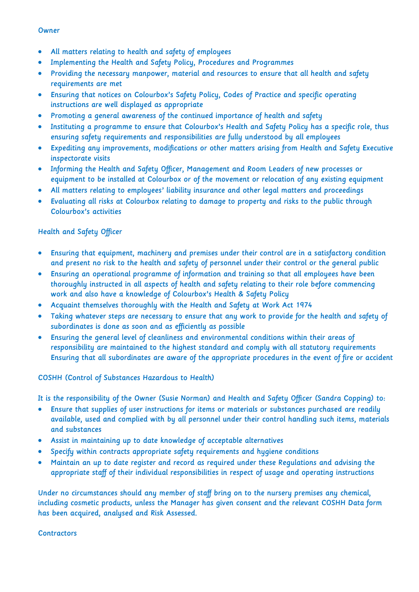#### **Owner**

- All matters relating to health and safety of employees
- Implementing the Health and Safety Policy, Procedures and Programmes
- Providing the necessary manpower, material and resources to ensure that all health and safety requirements are met
- Ensuring that notices on Colourbox's Safety Policy, Codes of Practice and specific operating instructions are well displayed as appropriate
- Promoting a general awareness of the continued importance of health and safety
- Instituting a programme to ensure that Colourbox's Health and Safety Policy has a specific role, thus ensuring safety requirements and responsibilities are fully understood by all employees
- Expediting any improvements, modifications or other matters arising from Health and Safety Executive inspectorate visits
- Informing the Health and Safety Officer, Management and Room Leaders of new processes or equipment to be installed at Colourbox or of the movement or relocation of any existing equipment
- All matters relating to employees' liability insurance and other legal matters and proceedings
- Evaluating all risks at Colourbox relating to damage to property and risks to the public through Colourbox's activities

### Health and Safety Officer

- Ensuring that equipment, machinery and premises under their control are in a satisfactory condition and present no risk to the health and safety of personnel under their control or the general public
- Ensuring an operational programme of information and training so that all employees have been thoroughly instructed in all aspects of health and safety relating to their role before commencing work and also have a knowledge of Colourbox's Health & Safety Policy
- Acquaint themselves thoroughly with the Health and Safety at Work Act 1974
- Taking whatever steps are necessary to ensure that any work to provide for the health and safety of subordinates is done as soon and as efficiently as possible
- Ensuring the general level of cleanliness and environmental conditions within their areas of responsibility are maintained to the highest standard and comply with all statutory requirements Ensuring that all subordinates are aware of the appropriate procedures in the event of fire or accident

### COSHH (Control of Substances Hazardous to Health)

It is the responsibility of the Owner (Susie Norman) and Health and Safety Officer (Sandra Copping) to:

- Ensure that supplies of user instructions for items or materials or substances purchased are readily available, used and complied with by all personnel under their control handling such items, materials and substances
- Assist in maintaining up to date knowledge of acceptable alternatives
- Specify within contracts appropriate safety requirements and hygiene conditions
- Maintain an up to date register and record as required under these Regulations and advising the appropriate staff of their individual responsibilities in respect of usage and operating instructions

Under no circumstances should any member of staff bring on to the nursery premises any chemical, including cosmetic products, unless the Manager has given consent and the relevant COSHH Data form has been acquired, analysed and Risk Assessed.

#### **Contractors**